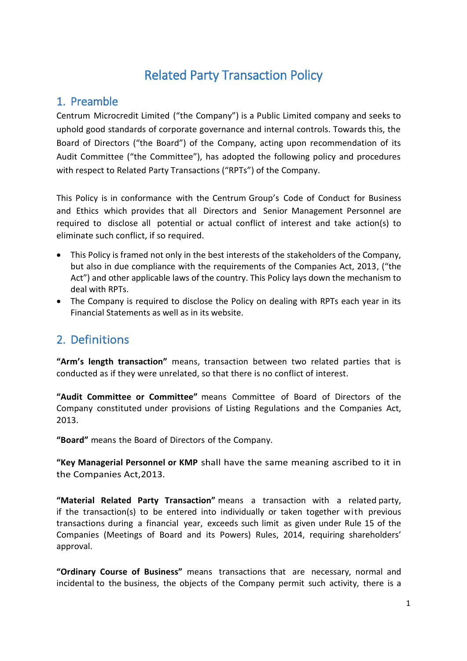# Related Party Transaction Policy

### 1. Preamble

Centrum Microcredit Limited ("the Company") is a Public Limited company and seeks to uphold good standards of corporate governance and internal controls. Towards this, the Board of Directors ("the Board") of the Company, acting upon recommendation of its Audit Committee ("the Committee"), has adopted the following policy and procedures with respect to Related Party Transactions ("RPTs") of the Company.

This Policy is in conformance with the Centrum Group's Code of Conduct for Business and Ethics which provides that all Directors and Senior Management Personnel are required to disclose all potential or actual conflict of interest and take action(s) to eliminate such conflict, if so required.

- This Policy is framed not only in the best interests of the stakeholders of the Company, but also in due compliance with the requirements of the Companies Act, 2013, ("the Act") and other applicable laws of the country. This Policy lays down the mechanism to deal with RPTs.
- The Company is required to disclose the Policy on dealing with RPTs each year in its Financial Statements as well as in its website.

### 2. Definitions

**"Arm's length transaction"** means, transaction between two related parties that is conducted as if they were unrelated, so that there is no conflict of interest.

**"Audit Committee or Committee"** means Committee of Board of Directors of the Company constituted under provisions of Listing Regulations and the Companies Act, 2013.

**"Board"** means the Board of Directors of the Company.

**"Key Managerial Personnel or KMP** shall have the same meaning ascribed to it in the Companies Act,2013.

**"Material Related Party Transaction"** means a transaction with a related party, if the transaction(s) to be entered into individually or taken together with previous transactions during a financial year, exceeds such limit as given under Rule 15 of the Companies (Meetings of Board and its Powers) Rules, 2014, requiring shareholders' approval.

**"Ordinary Course of Business"** means transactions that are necessary, normal and incidental to the business, the objects of the Company permit such activity, there is a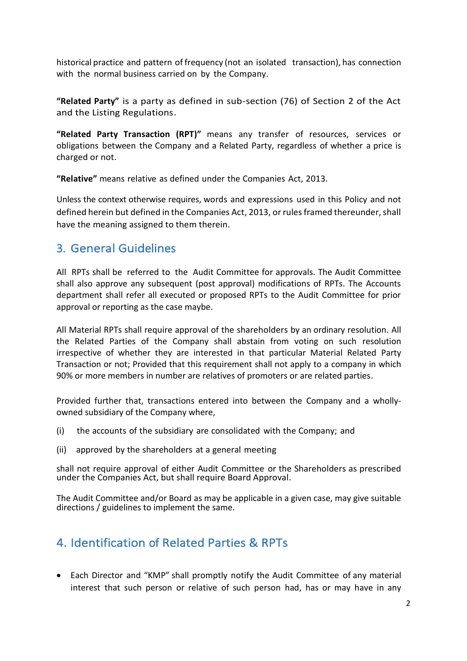historical practice and pattern of frequency (not an isolated transaction), has connection with the normal business carried on by the Company.

**"Related Party"** is a party as defined in sub-section (76) of Section 2 of the Act and the Listing Regulations.

**"Related Party Transaction (RPT)"** means any transfer of resources, services or obligations between the Company and a Related Party, regardless of whether a price is charged or not.

**"Relative"** means relative as defined under the Companies Act, 2013.

Unless the context otherwise requires, words and expressions used in this Policy and not defined herein but defined in the Companies Act, 2013, or rules framed thereunder, shall have the meaning assigned to them therein.

### 3. General Guidelines

All RPTs shall be referred to the Audit Committee for approvals. The Audit Committee shall also approve any subsequent (post approval) modifications of RPTs. The Accounts department shall refer all executed or proposed RPTs to the Audit Committee for prior approval or reporting as the case maybe.

All Material RPTs shall require approval of the shareholders by an ordinary resolution. All the Related Parties of the Company shall abstain from voting on such resolution irrespective of whether they are interested in that particular Material Related Party Transaction or not; Provided that this requirement shall not apply to a company in which 90% or more members in number are relatives of promoters or are related parties.

Provided further that, transactions entered into between the Company and a whollyowned subsidiary of the Company where,

- (i) the accounts of the subsidiary are consolidated with the Company; and
- (ii) approved by the shareholders at a general meeting

shall not require approval of either Audit Committee or the Shareholders as prescribed under the Companies Act, but shall require Board Approval.

The Audit Committee and/or Board as may be applicable in a given case, may give suitable directions / guidelines to implement the same.

### 4. Identification of Related Parties & RPTs

 Each Director and "KMP" shall promptly notify the Audit Committee of any material interest that such person or relative of such person had, has or may have in any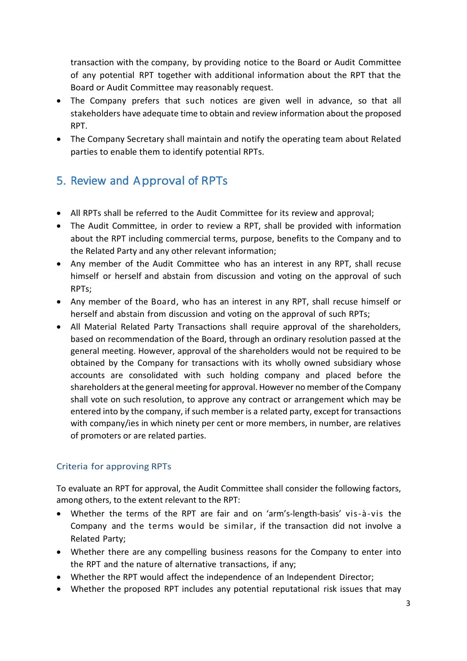transaction with the company, by providing notice to the Board or Audit Committee of any potential RPT together with additional information about the RPT that the Board or Audit Committee may reasonably request.

- The Company prefers that such notices are given well in advance, so that all stakeholders have adequate time to obtain and review information about the proposed RPT.
- The Company Secretary shall maintain and notify the operating team about Related parties to enable them to identify potential RPTs.

# 5. Review and Approval of RPTs

- All RPTs shall be referred to the Audit Committee for its review and approval;
- The Audit Committee, in order to review a RPT, shall be provided with information about the RPT including commercial terms, purpose, benefits to the Company and to the Related Party and any other relevant information;
- Any member of the Audit Committee who has an interest in any RPT, shall recuse himself or herself and abstain from discussion and voting on the approval of such RPTs;
- Any member of the Board, who has an interest in any RPT, shall recuse himself or herself and abstain from discussion and voting on the approval of such RPTs;
- All Material Related Party Transactions shall require approval of the shareholders, based on recommendation of the Board, through an ordinary resolution passed at the general meeting. However, approval of the shareholders would not be required to be obtained by the Company for transactions with its wholly owned subsidiary whose accounts are consolidated with such holding company and placed before the shareholders at the general meeting for approval. However no member of the Company shall vote on such resolution, to approve any contract or arrangement which may be entered into by the company, if such member is a [related party,](http://ebook.mca.gov.in/notificationdetail.aspx?acturl=6CoJDC4uKVUR7C9Fl4rZdatyDbeJTqg3uaDT7Vp4Q49CMLrjLkTdQ3Pyokn1IG4M1v2eQsahUIhbgQpxm44GdQtcvtvroFBL) except for transactions with company/ies in which ninety per cent or more members, in number, are relatives of promoters or are related parties.

#### Criteria for approving RPTs

To evaluate an RPT for approval, the Audit Committee shall consider the following factors, among others, to the extent relevant to the RPT:

- Whether the terms of the RPT are fair and on 'arm's-length-basis' vis-à-vis the Company and the terms would be similar, if the transaction did not involve a Related Party;
- Whether there are any compelling business reasons for the Company to enter into the RPT and the nature of alternative transactions, if any;
- Whether the RPT would affect the independence of an Independent Director;
- Whether the proposed RPT includes any potential reputational risk issues that may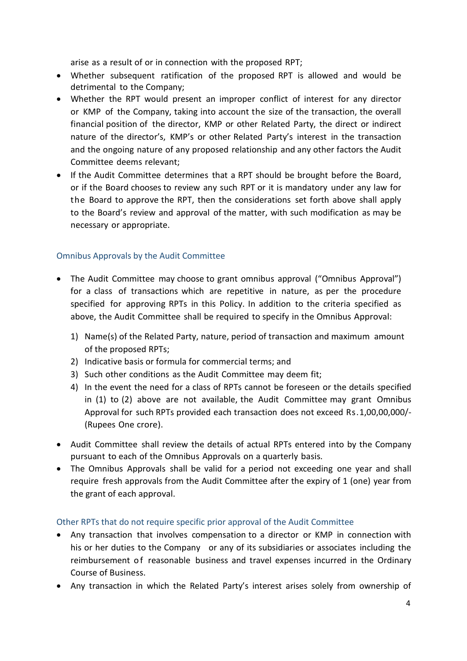arise as a result of or in connection with the proposed RPT;

- Whether subsequent ratification of the proposed RPT is allowed and would be detrimental to the Company;
- Whether the RPT would present an improper conflict of interest for any director or KMP of the Company, taking into account the size of the transaction, the overall financial position of the director, KMP or other Related Party, the direct or indirect nature of the director's, KMP's or other Related Party's interest in the transaction and the ongoing nature of any proposed relationship and any other factors the Audit Committee deems relevant;
- If the Audit Committee determines that a RPT should be brought before the Board, or if the Board chooses to review any such RPT or it is mandatory under any law for the Board to approve the RPT, then the considerations set forth above shall apply to the Board's review and approval of the matter, with such modification as may be necessary or appropriate.

#### Omnibus Approvals by the Audit Committee

- The Audit Committee may choose to grant omnibus approval ("Omnibus Approval") for a class of transactions which are repetitive in nature, as per the procedure specified for approving RPTs in this Policy. In addition to the criteria specified as above, the Audit Committee shall be required to specify in the Omnibus Approval:
	- 1) Name(s) of the Related Party, nature, period of transaction and maximum amount of the proposed RPTs;
	- 2) Indicative basis or formula for commercial terms; and
	- 3) Such other conditions as the Audit Committee may deem fit;
	- 4) In the event the need for a class of RPTs cannot be foreseen or the details specified in (1) to (2) above are not available, the Audit Committee may grant Omnibus Approval for such RPTs provided each transaction does not exceed Rs.1,00,00,000/- (Rupees One crore).
- Audit Committee shall review the details of actual RPTs entered into by the Company pursuant to each of the Omnibus Approvals on a quarterly basis.
- The Omnibus Approvals shall be valid for a period not exceeding one year and shall require fresh approvals from the Audit Committee after the expiry of 1 (one) year from the grant of each approval.

#### Other RPTs that do not require specific prior approval of the Audit Committee

- Any transaction that involves compensation to a director or KMP in connection with his or her duties to the Company or any of its subsidiaries or associates including the reimbursement of reasonable business and travel expenses incurred in the Ordinary Course of Business.
- Any transaction in which the Related Party's interest arises solely from ownership of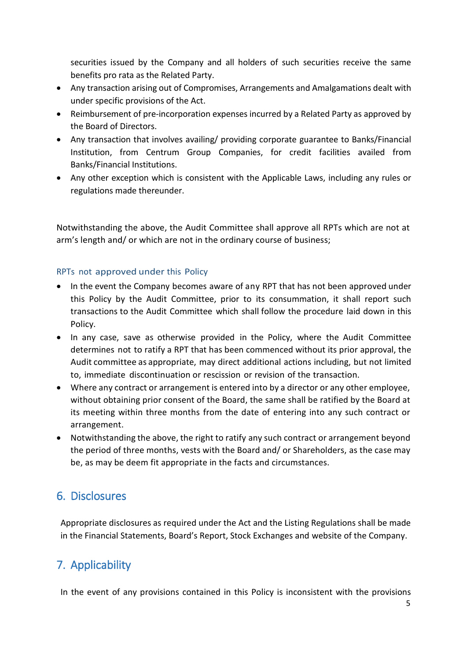securities issued by the Company and all holders of such securities receive the same benefits pro rata as the Related Party.

- Any transaction arising out of Compromises, Arrangements and Amalgamations dealt with under specific provisions of the Act.
- Reimbursement of pre-incorporation expenses incurred by a Related Party as approved by the Board of Directors.
- Any transaction that involves availing/ providing corporate guarantee to Banks/Financial Institution, from Centrum Group Companies, for credit facilities availed from Banks/Financial Institutions.
- Any other exception which is consistent with the Applicable Laws, including any rules or regulations made thereunder.

Notwithstanding the above, the Audit Committee shall approve all RPTs which are not at arm's length and/ or which are not in the ordinary course of business;

#### RPTs not approved under this Policy

- In the event the Company becomes aware of any RPT that has not been approved under this Policy by the Audit Committee, prior to its consummation, it shall report such transactions to the Audit Committee which shall follow the procedure laid down in this Policy.
- In any case, save as otherwise provided in the Policy, where the Audit Committee determines not to ratify a RPT that has been commenced without its prior approval, the Audit committee as appropriate, may direct additional actions including, but not limited to, immediate discontinuation or rescission or revision of the transaction.
- Where any contract or arrangement is entered into by a director or any other employee, without obtaining prior consent of the Board, the same shall be ratified by the Board at its meeting within three months from the date of entering into any such contract or arrangement.
- Notwithstanding the above, the right to ratify any such contract or arrangement beyond the period of three months, vests with the Board and/ or Shareholders, as the case may be, as may be deem fit appropriate in the facts and circumstances.

# 6. Disclosures

Appropriate disclosures as required under the Act and the Listing Regulations shall be made in the Financial Statements, Board's Report, Stock Exchanges and website of the Company.

# 7. Applicability

In the event of any provisions contained in this Policy is inconsistent with the provisions